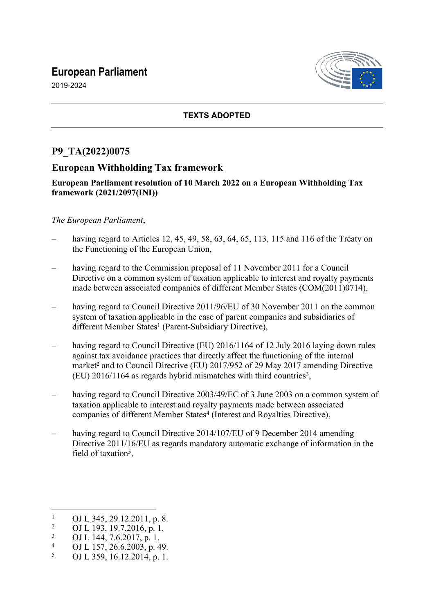# **European Parliament**



2019-2024

### **TEXTS ADOPTED**

## **P9\_TA(2022)0075**

## **European Withholding Tax framework**

#### **European Parliament resolution of 10 March 2022 on a European Withholding Tax framework (2021/2097(INI))**

#### *The European Parliament*,

- having regard to Articles 12, 45, 49, 58, 63, 64, 65, 113, 115 and 116 of the Treaty on the Functioning of the European Union,
- having regard to the Commission proposal of 11 November 2011 for a Council Directive on a common system of taxation applicable to interest and royalty payments made between associated companies of different Member States (COM(2011)0714),
- having regard to Council Directive 2011/96/EU of 30 November 2011 on the common system of taxation applicable in the case of parent companies and subsidiaries of different Member States<sup>1</sup> (Parent-Subsidiary Directive),
- having regard to Council Directive (EU) 2016/1164 of 12 July 2016 laying down rules against tax avoidance practices that directly affect the functioning of the internal market<sup>2</sup> and to Council Directive (EU) 2017/952 of 29 May 2017 amending Directive  $(EU)$  2016/1164 as regards hybrid mismatches with third countries<sup>3</sup>,
- having regard to Council Directive 2003/49/EC of 3 June 2003 on a common system of taxation applicable to interest and royalty payments made between associated companies of different Member States<sup>4</sup> (Interest and Royalties Directive),
- having regard to Council Directive 2014/107/EU of 9 December 2014 amending Directive 2011/16/EU as regards mandatory automatic exchange of information in the field of taxation<sup>5</sup>,

<sup>1</sup> OJ L 345, 29.12.2011, p. 8.

 $\overline{2}$ OJ L 193, 19.7.2016, p. 1.

<sup>3</sup> OJ L 144, 7.6.2017, p. 1.

<sup>4</sup> OJ L 157, 26.6.2003, p. 49.

<sup>5</sup> OJ L 359, 16.12.2014, p. 1.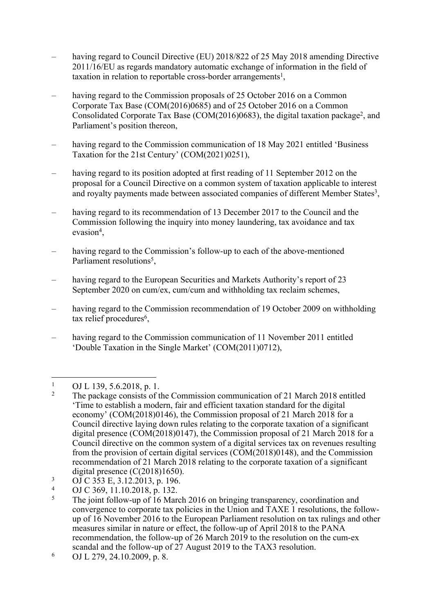- having regard to Council Directive (EU) 2018/822 of 25 May 2018 amending Directive 2011/16/EU as regards mandatory automatic exchange of information in the field of taxation in relation to reportable cross-border arrangements<sup>1</sup>,
- having regard to the Commission proposals of 25 October 2016 on a Common Corporate Tax Base (COM(2016)0685) and of 25 October 2016 on a Common Consolidated Corporate Tax Base (COM(2016)0683), the digital taxation package<sup>2</sup>, and Parliament's position thereon,
- having regard to the Commission communication of 18 May 2021 entitled 'Business' Taxation for the 21st Century' (COM(2021)0251),
- having regard to its position adopted at first reading of 11 September 2012 on the proposal for a Council Directive on a common system of taxation applicable to interest and royalty payments made between associated companies of different Member States<sup>3</sup>,
- having regard to its recommendation of 13 December 2017 to the Council and the Commission following the inquiry into money laundering, tax avoidance and tax evasion<sup>4</sup>,
- having regard to the Commission's follow-up to each of the above-mentioned Parliament resolutions<sup>5</sup>,
- having regard to the European Securities and Markets Authority's report of 23 September 2020 on cum/ex, cum/cum and withholding tax reclaim schemes,
- having regard to the Commission recommendation of 19 October 2009 on withholding tax relief procedures<sup>6</sup>,
- having regard to the Commission communication of 11 November 2011 entitled 'Double Taxation in the Single Market' (COM(2011)0712),

- 3 OJ C 353 E, 3.12.2013, p. 196.
- 4 OJ C 369, 11.10.2018, p. 132.

6 OJ L 279, 24.10.2009, p. 8.

<sup>1</sup> OJ L 139, 5.6.2018, p. 1.

 $\mathfrak{Z}$  The package consists of the Commission communication of 21 March 2018 entitled 'Time to establish a modern, fair and efficient taxation standard for the digital economy' (COM(2018)0146), the Commission proposal of 21 March 2018 for a Council directive laying down rules relating to the corporate taxation of a significant digital presence (COM(2018)0147), the Commission proposal of 21 March 2018 for a Council directive on the common system of a digital services tax on revenues resulting from the provision of certain digital services (COM(2018)0148), and the Commission recommendation of 21 March 2018 relating to the corporate taxation of a significant digital presence (C(2018)1650).

<sup>5</sup> The joint follow-up of 16 March 2016 on bringing transparency, coordination and convergence to corporate tax policies in the Union and TAXE 1 resolutions, the followup of 16 November 2016 to the European Parliament resolution on tax rulings and other measures similar in nature or effect, the follow-up of April 2018 to the PANA recommendation, the follow-up of 26 March 2019 to the resolution on the cum-ex scandal and the follow-up of 27 August 2019 to the TAX3 resolution.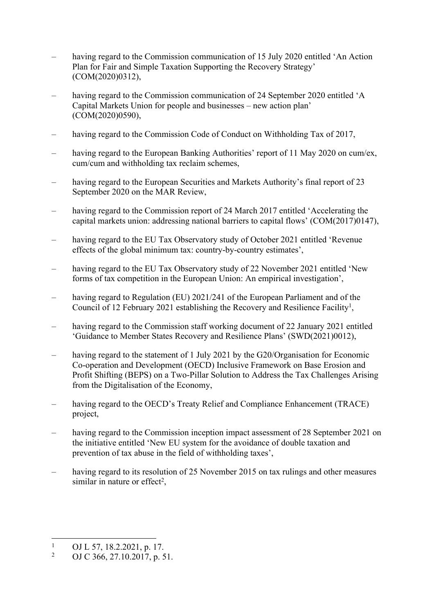- having regard to the Commission communication of 15 July 2020 entitled 'An Action Plan for Fair and Simple Taxation Supporting the Recovery Strategy' (COM(2020)0312),
- having regard to the Commission communication of 24 September 2020 entitled 'A Capital Markets Union for people and businesses – new action plan' (COM(2020)0590),
- having regard to the Commission Code of Conduct on Withholding Tax of 2017.
- having regard to the European Banking Authorities' report of 11 May 2020 on cum/ex, cum/cum and withholding tax reclaim schemes,
- having regard to the European Securities and Markets Authority's final report of 23 September 2020 on the MAR Review,
- having regard to the Commission report of 24 March 2017 entitled 'Accelerating the capital markets union: addressing national barriers to capital flows' (COM(2017)0147),
- having regard to the EU Tax Observatory study of October 2021 entitled 'Revenue effects of the global minimum tax: country-by-country estimates',
- having regard to the EU Tax Observatory study of 22 November 2021 entitled 'New forms of tax competition in the European Union: An empirical investigation',
- having regard to Regulation (EU) 2021/241 of the European Parliament and of the Council of 12 February 2021 establishing the Recovery and Resilience Facility<sup>1</sup>,
- having regard to the Commission staff working document of 22 January 2021 entitled 'Guidance to Member States Recovery and Resilience Plans' (SWD(2021)0012),
- having regard to the statement of 1 July 2021 by the G20/Organisation for Economic Co-operation and Development (OECD) Inclusive Framework on Base Erosion and Profit Shifting (BEPS) on a Two-Pillar Solution to Address the Tax Challenges Arising from the Digitalisation of the Economy,
- having regard to the OECD's Treaty Relief and Compliance Enhancement (TRACE) project,
- having regard to the Commission inception impact assessment of 28 September 2021 on the initiative entitled 'New EU system for the avoidance of double taxation and prevention of tax abuse in the field of withholding taxes',
- having regard to its resolution of 25 November 2015 on tax rulings and other measures similar in nature or effect<sup>2</sup>,

<sup>1</sup> OJ L 57, 18.2.2021, p. 17.

<sup>2</sup> OJ C 366, 27.10.2017, p. 51.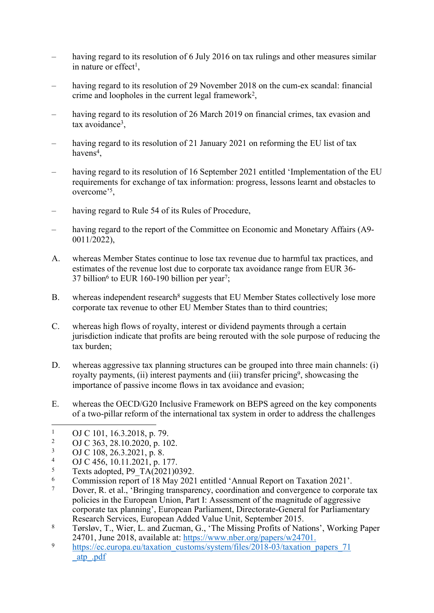- having regard to its resolution of 6 July 2016 on tax rulings and other measures similar in nature or effect<sup>1</sup>,
- having regard to its resolution of 29 November 2018 on the cum-ex scandal: financial crime and loopholes in the current legal framework<sup>2</sup>,
- having regard to its resolution of 26 March 2019 on financial crimes, tax evasion and tax avoidance<sup>3</sup>,
- having regard to its resolution of 21 January 2021 on reforming the EU list of tax havens<sup>4</sup>,
- having regard to its resolution of 16 September 2021 entitled 'Implementation of the EU requirements for exchange of tax information: progress, lessons learnt and obstacles to overcome'<sup>5</sup> ,
- having regard to Rule 54 of its Rules of Procedure,
- having regard to the report of the Committee on Economic and Monetary Affairs (A9- 0011/2022),
- A. whereas Member States continue to lose tax revenue due to harmful tax practices, and estimates of the revenue lost due to corporate tax avoidance range from EUR 36- 37 billion<sup>6</sup> to EUR 160-190 billion per year<sup>7</sup>;
- B. whereas independent research<sup>8</sup> suggests that EU Member States collectively lose more corporate tax revenue to other EU Member States than to third countries;
- C. whereas high flows of royalty, interest or dividend payments through a certain jurisdiction indicate that profits are being rerouted with the sole purpose of reducing the tax burden;
- D. whereas aggressive tax planning structures can be grouped into three main channels: (i) royalty payments, (ii) interest payments and (iii) transfer pricing<sup>9</sup>, showcasing the importance of passive income flows in tax avoidance and evasion;
- E. whereas the OECD/G20 Inclusive Framework on BEPS agreed on the key components of a two-pillar reform of the international tax system in order to address the challenges

- 4 OJ C 456, 10.11.2021, p. 177.
- 5 Texts adopted, P9\_TA(2021)0392.
- 6 Commission report of 18 May 2021 entitled 'Annual Report on Taxation 2021'.
- 7 Dover, R. et al., 'Bringing transparency, coordination and convergence to corporate tax policies in the European Union, Part I: Assessment of the magnitude of aggressive corporate tax planning', European Parliament, Directorate-General for Parliamentary Research Services, European Added Value Unit, September 2015.
- 8 Tørsløv, T., Wier, L. and Zucman, G., 'The Missing Profits of Nations', Working Paper 24701, June 2018, available at: [https://www.nber.org/papers/w24701.](https://www.nber.org/papers/w24701)
- <sup>9</sup> [https://ec.europa.eu/taxation\\_customs/system/files/2018-03/taxation\\_papers\\_71](https://ec.europa.eu/taxation_customs/system/files/2018-03/taxation_papers_71_atp_.pdf) [\\_atp\\_.pdf](https://ec.europa.eu/taxation_customs/system/files/2018-03/taxation_papers_71_atp_.pdf)

<sup>1</sup> OJ C 101, 16.3.2018, p. 79.

<sup>2</sup> OJ C 363, 28.10.2020, p. 102.

<sup>3</sup> OJ C 108, 26.3.2021, p. 8.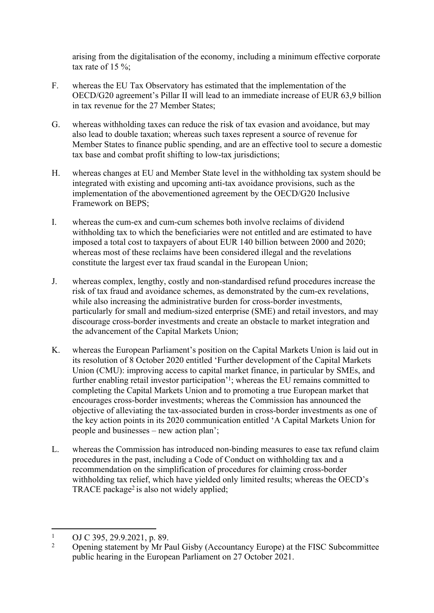arising from the digitalisation of the economy, including a minimum effective corporate tax rate of 15  $\%$ ;

- F. whereas the EU Tax Observatory has estimated that the implementation of the OECD/G20 agreement's Pillar II will lead to an immediate increase of EUR 63,9 billion in tax revenue for the 27 Member States;
- G. whereas withholding taxes can reduce the risk of tax evasion and avoidance, but may also lead to double taxation; whereas such taxes represent a source of revenue for Member States to finance public spending, and are an effective tool to secure a domestic tax base and combat profit shifting to low-tax jurisdictions;
- H. whereas changes at EU and Member State level in the withholding tax system should be integrated with existing and upcoming anti-tax avoidance provisions, such as the implementation of the abovementioned agreement by the OECD/G20 Inclusive Framework on BEPS;
- I. whereas the cum-ex and cum-cum schemes both involve reclaims of dividend withholding tax to which the beneficiaries were not entitled and are estimated to have imposed a total cost to taxpayers of about EUR 140 billion between 2000 and 2020; whereas most of these reclaims have been considered illegal and the revelations constitute the largest ever tax fraud scandal in the European Union;
- J. whereas complex, lengthy, costly and non-standardised refund procedures increase the risk of tax fraud and avoidance schemes, as demonstrated by the cum-ex revelations, while also increasing the administrative burden for cross-border investments, particularly for small and medium-sized enterprise (SME) and retail investors, and may discourage cross-border investments and create an obstacle to market integration and the advancement of the Capital Markets Union;
- K. whereas the European Parliament's position on the Capital Markets Union is laid out in its resolution of 8 October 2020 entitled 'Further development of the Capital Markets Union (CMU): improving access to capital market finance, in particular by SMEs, and further enabling retail investor participation<sup>'1</sup>; whereas the EU remains committed to completing the Capital Markets Union and to promoting a true European market that encourages cross-border investments; whereas the Commission has announced the objective of alleviating the tax-associated burden in cross-border investments as one of the key action points in its 2020 communication entitled 'A Capital Markets Union for people and businesses – new action plan';
- L. whereas the Commission has introduced non-binding measures to ease tax refund claim procedures in the past, including a Code of Conduct on withholding tax and a recommendation on the simplification of procedures for claiming cross-border withholding tax relief, which have yielded only limited results; whereas the OECD's TRACE package<sup>2</sup> is also not widely applied;

<sup>1</sup> OJ C 395, 29.9.2021, p. 89.

<sup>2</sup> Opening statement by Mr Paul Gisby (Accountancy Europe) at the FISC Subcommittee public hearing in the European Parliament on 27 October 2021.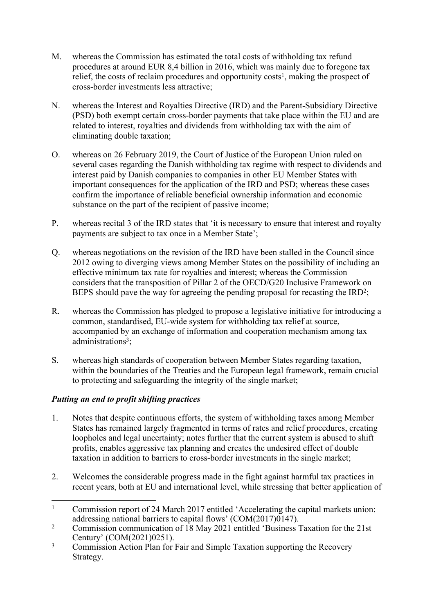- M. whereas the Commission has estimated the total costs of withholding tax refund procedures at around EUR 8,4 billion in 2016, which was mainly due to foregone tax relief, the costs of reclaim procedures and opportunity costs<sup>1</sup>, making the prospect of cross-border investments less attractive;
- N. whereas the Interest and Royalties Directive (IRD) and the Parent-Subsidiary Directive (PSD) both exempt certain cross-border payments that take place within the EU and are related to interest, royalties and dividends from withholding tax with the aim of eliminating double taxation;
- O. whereas on 26 February 2019, the Court of Justice of the European Union ruled on several cases regarding the Danish withholding tax regime with respect to dividends and interest paid by Danish companies to companies in other EU Member States with important consequences for the application of the IRD and PSD; whereas these cases confirm the importance of reliable beneficial ownership information and economic substance on the part of the recipient of passive income;
- P. whereas recital 3 of the IRD states that 'it is necessary to ensure that interest and royalty payments are subject to tax once in a Member State';
- Q. whereas negotiations on the revision of the IRD have been stalled in the Council since 2012 owing to diverging views among Member States on the possibility of including an effective minimum tax rate for royalties and interest; whereas the Commission considers that the transposition of Pillar 2 of the OECD/G20 Inclusive Framework on BEPS should pave the way for agreeing the pending proposal for recasting the  $IRD<sup>2</sup>$ ;
- R. whereas the Commission has pledged to propose a legislative initiative for introducing a common, standardised, EU-wide system for withholding tax relief at source, accompanied by an exchange of information and cooperation mechanism among tax administrations<sup>3</sup>;
- S. whereas high standards of cooperation between Member States regarding taxation, within the boundaries of the Treaties and the European legal framework, remain crucial to protecting and safeguarding the integrity of the single market;

## *Putting an end to profit shifting practices*

- 1. Notes that despite continuous efforts, the system of withholding taxes among Member States has remained largely fragmented in terms of rates and relief procedures, creating loopholes and legal uncertainty; notes further that the current system is abused to shift profits, enables aggressive tax planning and creates the undesired effect of double taxation in addition to barriers to cross-border investments in the single market;
- 2. Welcomes the considerable progress made in the fight against harmful tax practices in recent years, both at EU and international level, while stressing that better application of

<sup>1</sup> Commission report of 24 March 2017 entitled 'Accelerating the capital markets union: addressing national barriers to capital flows' (COM(2017)0147).

<sup>2</sup> Commission communication of 18 May 2021 entitled 'Business Taxation for the 21st Century' (COM(2021)0251).

<sup>3</sup> Commission Action Plan for Fair and Simple Taxation supporting the Recovery Strategy.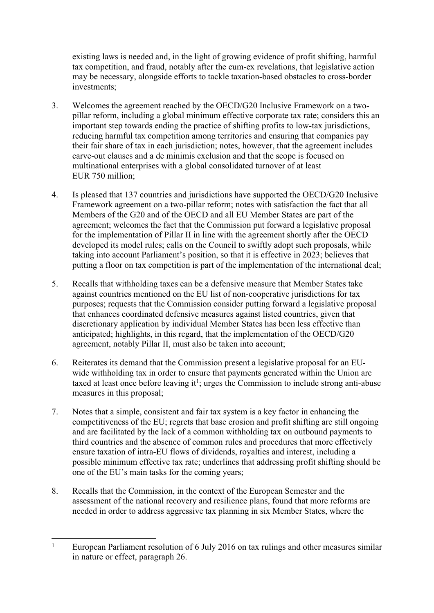existing laws is needed and, in the light of growing evidence of profit shifting, harmful tax competition, and fraud, notably after the cum-ex revelations, that legislative action may be necessary, alongside efforts to tackle taxation-based obstacles to cross-border investments;

- 3. Welcomes the agreement reached by the OECD/G20 Inclusive Framework on a twopillar reform, including a global minimum effective corporate tax rate; considers this an important step towards ending the practice of shifting profits to low-tax jurisdictions, reducing harmful tax competition among territories and ensuring that companies pay their fair share of tax in each jurisdiction; notes, however, that the agreement includes carve-out clauses and a de minimis exclusion and that the scope is focused on multinational enterprises with a global consolidated turnover of at least EUR 750 million;
- 4. Is pleased that 137 countries and jurisdictions have supported the OECD/G20 Inclusive Framework agreement on a two-pillar reform; notes with satisfaction the fact that all Members of the G20 and of the OECD and all EU Member States are part of the agreement; welcomes the fact that the Commission put forward a legislative proposal for the implementation of Pillar II in line with the agreement shortly after the OECD developed its model rules; calls on the Council to swiftly adopt such proposals, while taking into account Parliament's position, so that it is effective in 2023; believes that putting a floor on tax competition is part of the implementation of the international deal;
- 5. Recalls that withholding taxes can be a defensive measure that Member States take against countries mentioned on the EU list of non-cooperative jurisdictions for tax purposes; requests that the Commission consider putting forward a legislative proposal that enhances coordinated defensive measures against listed countries, given that discretionary application by individual Member States has been less effective than anticipated; highlights, in this regard, that the implementation of the OECD/G20 agreement, notably Pillar II, must also be taken into account;
- 6. Reiterates its demand that the Commission present a legislative proposal for an EUwide withholding tax in order to ensure that payments generated within the Union are taxed at least once before leaving it<sup>1</sup>; urges the Commission to include strong anti-abuse measures in this proposal;
- 7. Notes that a simple, consistent and fair tax system is a key factor in enhancing the competitiveness of the EU; regrets that base erosion and profit shifting are still ongoing and are facilitated by the lack of a common withholding tax on outbound payments to third countries and the absence of common rules and procedures that more effectively ensure taxation of intra-EU flows of dividends, royalties and interest, including a possible minimum effective tax rate; underlines that addressing profit shifting should be one of the EU's main tasks for the coming years;
- 8. Recalls that the Commission, in the context of the European Semester and the assessment of the national recovery and resilience plans, found that more reforms are needed in order to address aggressive tax planning in six Member States, where the

<sup>1</sup> European Parliament resolution of 6 July 2016 on tax rulings and other measures similar in nature or effect, paragraph 26.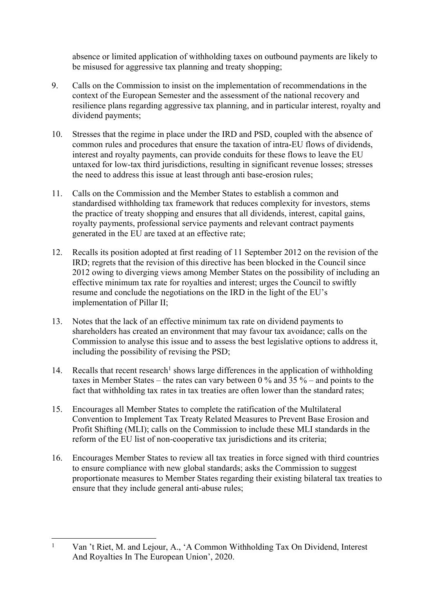absence or limited application of withholding taxes on outbound payments are likely to be misused for aggressive tax planning and treaty shopping;

- 9. Calls on the Commission to insist on the implementation of recommendations in the context of the European Semester and the assessment of the national recovery and resilience plans regarding aggressive tax planning, and in particular interest, royalty and dividend payments;
- 10. Stresses that the regime in place under the IRD and PSD, coupled with the absence of common rules and procedures that ensure the taxation of intra-EU flows of dividends, interest and royalty payments, can provide conduits for these flows to leave the EU untaxed for low-tax third jurisdictions, resulting in significant revenue losses; stresses the need to address this issue at least through anti base-erosion rules;
- 11. Calls on the Commission and the Member States to establish a common and standardised withholding tax framework that reduces complexity for investors, stems the practice of treaty shopping and ensures that all dividends, interest, capital gains, royalty payments, professional service payments and relevant contract payments generated in the EU are taxed at an effective rate;
- 12. Recalls its position adopted at first reading of 11 September 2012 on the revision of the IRD; regrets that the revision of this directive has been blocked in the Council since 2012 owing to diverging views among Member States on the possibility of including an effective minimum tax rate for royalties and interest; urges the Council to swiftly resume and conclude the negotiations on the IRD in the light of the EU's implementation of Pillar II;
- 13. Notes that the lack of an effective minimum tax rate on dividend payments to shareholders has created an environment that may favour tax avoidance; calls on the Commission to analyse this issue and to assess the best legislative options to address it, including the possibility of revising the PSD;
- 14. Recalls that recent research<sup>1</sup> shows large differences in the application of withholding taxes in Member States – the rates can vary between 0 % and 35 % – and points to the fact that withholding tax rates in tax treaties are often lower than the standard rates;
- 15. Encourages all Member States to complete the ratification of the Multilateral Convention to Implement Tax Treaty Related Measures to Prevent Base Erosion and Profit Shifting (MLI); calls on the Commission to include these MLI standards in the reform of the EU list of non-cooperative tax jurisdictions and its criteria;
- 16. Encourages Member States to review all tax treaties in force signed with third countries to ensure compliance with new global standards; asks the Commission to suggest proportionate measures to Member States regarding their existing bilateral tax treaties to ensure that they include general anti-abuse rules;

<sup>1</sup> Van 't Riet, M. and Lejour, A., 'A Common Withholding Tax On Dividend, Interest And Royalties In The European Union', 2020.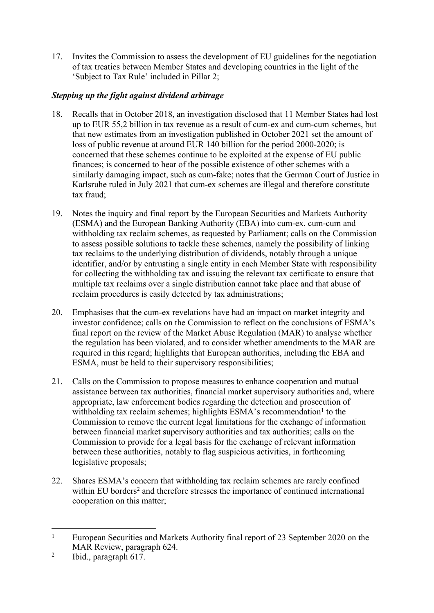17. Invites the Commission to assess the development of EU guidelines for the negotiation of tax treaties between Member States and developing countries in the light of the 'Subject to Tax Rule' included in Pillar 2;

## *Stepping up the fight against dividend arbitrage*

- 18. Recalls that in October 2018, an investigation disclosed that 11 Member States had lost up to EUR 55,2 billion in tax revenue as a result of cum-ex and cum-cum schemes, but that new estimates from an investigation published in October 2021 set the amount of loss of public revenue at around EUR 140 billion for the period 2000-2020; is concerned that these schemes continue to be exploited at the expense of EU public finances; is concerned to hear of the possible existence of other schemes with a similarly damaging impact, such as cum-fake; notes that the German Court of Justice in Karlsruhe ruled in July 2021 that cum-ex schemes are illegal and therefore constitute tax fraud;
- 19. Notes the inquiry and final report by the European Securities and Markets Authority (ESMA) and the European Banking Authority (EBA) into cum-ex, cum-cum and withholding tax reclaim schemes, as requested by Parliament; calls on the Commission to assess possible solutions to tackle these schemes, namely the possibility of linking tax reclaims to the underlying distribution of dividends, notably through a unique identifier, and/or by entrusting a single entity in each Member State with responsibility for collecting the withholding tax and issuing the relevant tax certificate to ensure that multiple tax reclaims over a single distribution cannot take place and that abuse of reclaim procedures is easily detected by tax administrations;
- 20. Emphasises that the cum-ex revelations have had an impact on market integrity and investor confidence; calls on the Commission to reflect on the conclusions of ESMA's final report on the review of the Market Abuse Regulation (MAR) to analyse whether the regulation has been violated, and to consider whether amendments to the MAR are required in this regard; highlights that European authorities, including the EBA and ESMA, must be held to their supervisory responsibilities;
- 21. Calls on the Commission to propose measures to enhance cooperation and mutual assistance between tax authorities, financial market supervisory authorities and, where appropriate, law enforcement bodies regarding the detection and prosecution of withholding tax reclaim schemes; highlights ESMA's recommendation<sup>1</sup> to the Commission to remove the current legal limitations for the exchange of information between financial market supervisory authorities and tax authorities; calls on the Commission to provide for a legal basis for the exchange of relevant information between these authorities, notably to flag suspicious activities, in forthcoming legislative proposals;
- 22. Shares ESMA's concern that withholding tax reclaim schemes are rarely confined within EU borders<sup>2</sup> and therefore stresses the importance of continued international cooperation on this matter;

<sup>1</sup> European Securities and Markets Authority final report of 23 September 2020 on the MAR Review, paragraph 624.

<sup>2</sup> Ibid., paragraph 617.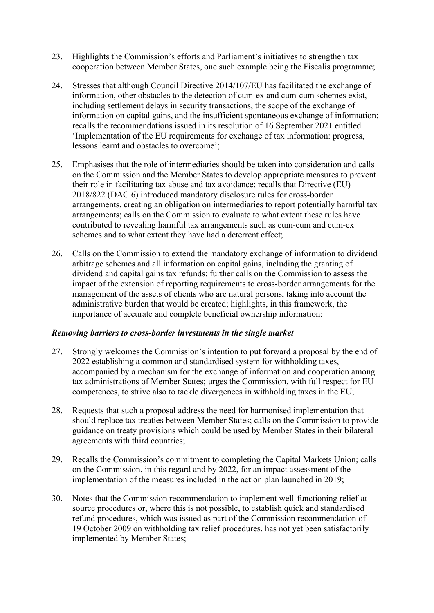- 23. Highlights the Commission's efforts and Parliament's initiatives to strengthen tax cooperation between Member States, one such example being the Fiscalis programme;
- 24. Stresses that although Council Directive 2014/107/EU has facilitated the exchange of information, other obstacles to the detection of cum-ex and cum-cum schemes exist, including settlement delays in security transactions, the scope of the exchange of information on capital gains, and the insufficient spontaneous exchange of information; recalls the recommendations issued in its resolution of 16 September 2021 entitled 'Implementation of the EU requirements for exchange of tax information: progress, lessons learnt and obstacles to overcome';
- 25. Emphasises that the role of intermediaries should be taken into consideration and calls on the Commission and the Member States to develop appropriate measures to prevent their role in facilitating tax abuse and tax avoidance; recalls that Directive (EU) 2018/822 (DAC 6) introduced mandatory disclosure rules for cross-border arrangements, creating an obligation on intermediaries to report potentially harmful tax arrangements; calls on the Commission to evaluate to what extent these rules have contributed to revealing harmful tax arrangements such as cum-cum and cum-ex schemes and to what extent they have had a deterrent effect;
- 26. Calls on the Commission to extend the mandatory exchange of information to dividend arbitrage schemes and all information on capital gains, including the granting of dividend and capital gains tax refunds; further calls on the Commission to assess the impact of the extension of reporting requirements to cross-border arrangements for the management of the assets of clients who are natural persons, taking into account the administrative burden that would be created; highlights, in this framework, the importance of accurate and complete beneficial ownership information;

#### *Removing barriers to cross-border investments in the single market*

- 27. Strongly welcomes the Commission's intention to put forward a proposal by the end of 2022 establishing a common and standardised system for withholding taxes, accompanied by a mechanism for the exchange of information and cooperation among tax administrations of Member States; urges the Commission, with full respect for EU competences, to strive also to tackle divergences in withholding taxes in the EU;
- 28. Requests that such a proposal address the need for harmonised implementation that should replace tax treaties between Member States; calls on the Commission to provide guidance on treaty provisions which could be used by Member States in their bilateral agreements with third countries;
- 29. Recalls the Commission's commitment to completing the Capital Markets Union; calls on the Commission, in this regard and by 2022, for an impact assessment of the implementation of the measures included in the action plan launched in 2019;
- 30. Notes that the Commission recommendation to implement well-functioning relief-atsource procedures or, where this is not possible, to establish quick and standardised refund procedures, which was issued as part of the Commission recommendation of 19 October 2009 on withholding tax relief procedures, has not yet been satisfactorily implemented by Member States;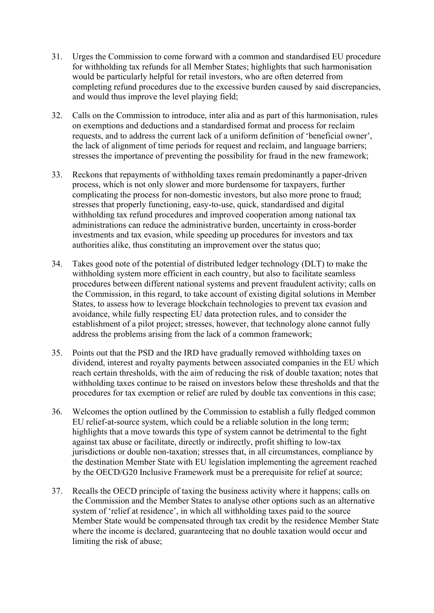- 31. Urges the Commission to come forward with a common and standardised EU procedure for withholding tax refunds for all Member States; highlights that such harmonisation would be particularly helpful for retail investors, who are often deterred from completing refund procedures due to the excessive burden caused by said discrepancies, and would thus improve the level playing field;
- 32. Calls on the Commission to introduce, inter alia and as part of this harmonisation, rules on exemptions and deductions and a standardised format and process for reclaim requests, and to address the current lack of a uniform definition of 'beneficial owner', the lack of alignment of time periods for request and reclaim, and language barriers; stresses the importance of preventing the possibility for fraud in the new framework;
- 33. Reckons that repayments of withholding taxes remain predominantly a paper-driven process, which is not only slower and more burdensome for taxpayers, further complicating the process for non-domestic investors, but also more prone to fraud; stresses that properly functioning, easy-to-use, quick, standardised and digital withholding tax refund procedures and improved cooperation among national tax administrations can reduce the administrative burden, uncertainty in cross-border investments and tax evasion, while speeding up procedures for investors and tax authorities alike, thus constituting an improvement over the status quo;
- 34. Takes good note of the potential of distributed ledger technology (DLT) to make the withholding system more efficient in each country, but also to facilitate seamless procedures between different national systems and prevent fraudulent activity; calls on the Commission, in this regard, to take account of existing digital solutions in Member States, to assess how to leverage blockchain technologies to prevent tax evasion and avoidance, while fully respecting EU data protection rules, and to consider the establishment of a pilot project; stresses, however, that technology alone cannot fully address the problems arising from the lack of a common framework;
- 35. Points out that the PSD and the IRD have gradually removed withholding taxes on dividend, interest and royalty payments between associated companies in the EU which reach certain thresholds, with the aim of reducing the risk of double taxation; notes that withholding taxes continue to be raised on investors below these thresholds and that the procedures for tax exemption or relief are ruled by double tax conventions in this case;
- 36. Welcomes the option outlined by the Commission to establish a fully fledged common EU relief-at-source system, which could be a reliable solution in the long term; highlights that a move towards this type of system cannot be detrimental to the fight against tax abuse or facilitate, directly or indirectly, profit shifting to low-tax jurisdictions or double non-taxation; stresses that, in all circumstances, compliance by the destination Member State with EU legislation implementing the agreement reached by the OECD/G20 Inclusive Framework must be a prerequisite for relief at source;
- 37. Recalls the OECD principle of taxing the business activity where it happens; calls on the Commission and the Member States to analyse other options such as an alternative system of 'relief at residence', in which all withholding taxes paid to the source Member State would be compensated through tax credit by the residence Member State where the income is declared, guaranteeing that no double taxation would occur and limiting the risk of abuse;